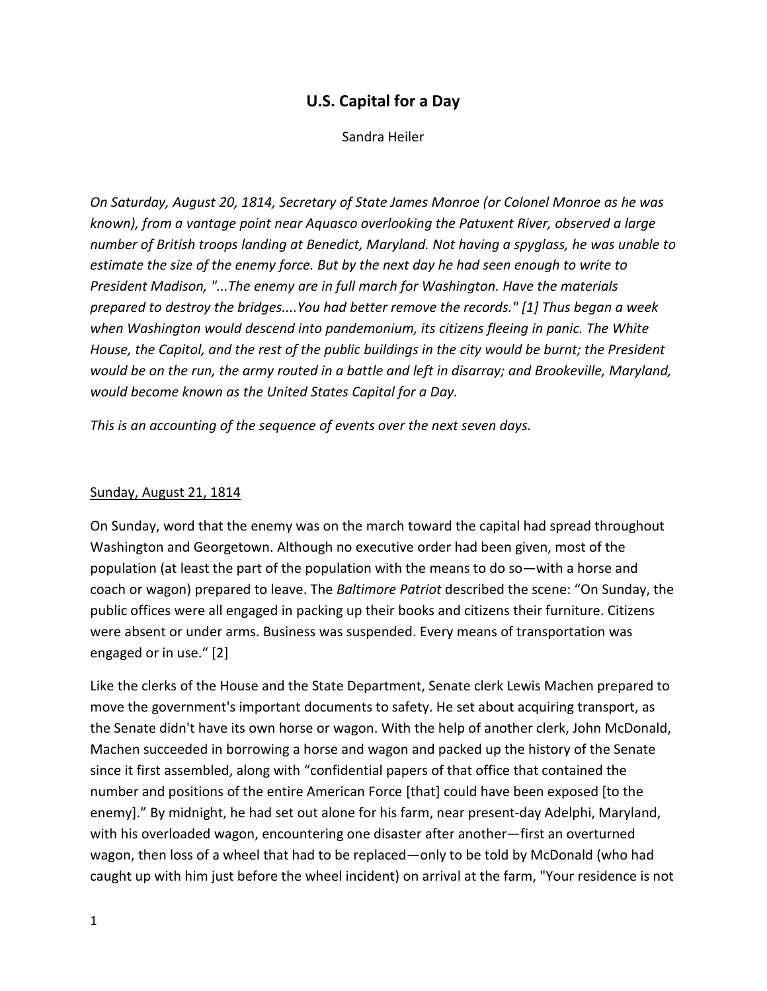# U.S. Capital for a Day

Sandra Heiler

On Saturday, August 20, 1814, Secretary of State James Monroe (or Colonel Monroe as he was known), from a vantage point near Aquasco overlooking the Patuxent River, observed a large number of British troops landing at Benedict, Maryland. Not having a spyglass, he was unable to estimate the size of the enemy force. But by the next day he had seen enough to write to President Madison, "...The enemy are in full march for Washington. Have the materials prepared to destroy the bridges....You had better remove the records." [1] Thus began a week when Washington would descend into pandemonium, its citizens fleeing in panic. The White House, the Capitol, and the rest of the public buildings in the city would be burnt; the President would be on the run, the army routed in a battle and left in disarray; and Brookeville, Maryland, would become known as the United States Capital for a Day.

This is an accounting of the sequence of events over the next seven days.

#### Sunday, August 21, 1814

On Sunday, word that the enemy was on the march toward the capital had spread throughout Washington and Georgetown. Although no executive order had been given, most of the population (at least the part of the population with the means to do so—with a horse and coach or wagon) prepared to leave. The Baltimore Patriot described the scene: "On Sunday, the public offices were all engaged in packing up their books and citizens their furniture. Citizens were absent or under arms. Business was suspended. Every means of transportation was engaged or in use." [2]

Like the clerks of the House and the State Department, Senate clerk Lewis Machen prepared to move the government's important documents to safety. He set about acquiring transport, as the Senate didn't have its own horse or wagon. With the help of another clerk, John McDonald, Machen succeeded in borrowing a horse and wagon and packed up the history of the Senate since it first assembled, along with "confidential papers of that office that contained the number and positions of the entire American Force [that] could have been exposed [to the enemy]." By midnight, he had set out alone for his farm, near present-day Adelphi, Maryland, with his overloaded wagon, encountering one disaster after another—first an overturned wagon, then loss of a wheel that had to be replaced—only to be told by McDonald (who had caught up with him just before the wheel incident) on arrival at the farm, "Your residence is not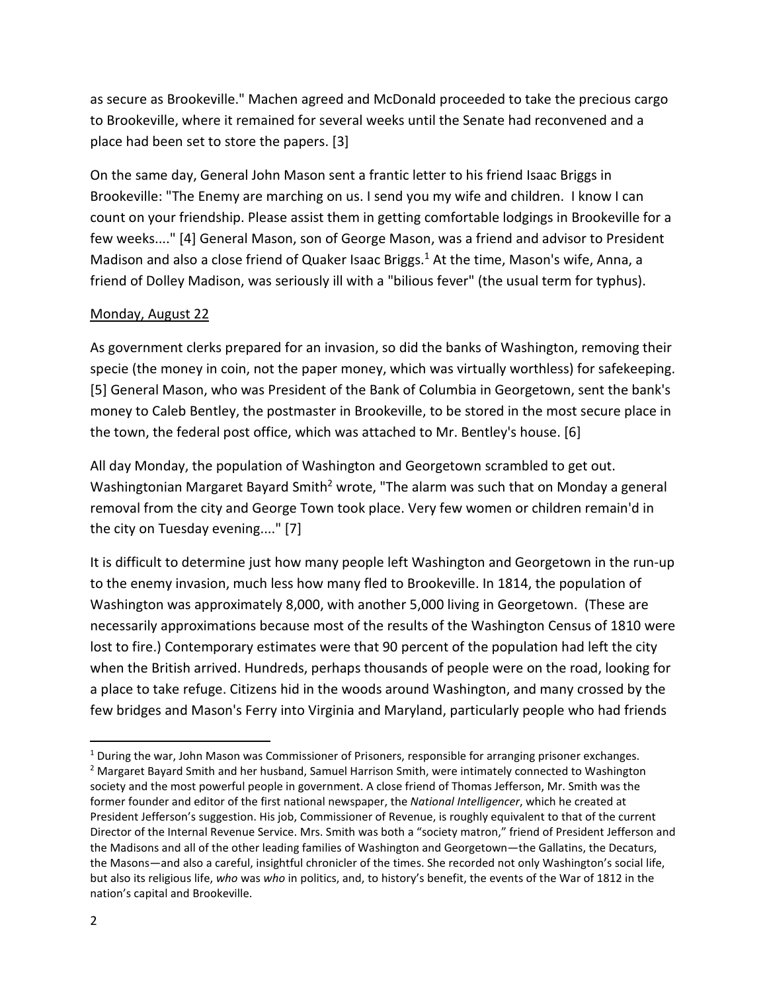as secure as Brookeville." Machen agreed and McDonald proceeded to take the precious cargo to Brookeville, where it remained for several weeks until the Senate had reconvened and a place had been set to store the papers. [3]

On the same day, General John Mason sent a frantic letter to his friend Isaac Briggs in Brookeville: "The Enemy are marching on us. I send you my wife and children. I know I can count on your friendship. Please assist them in getting comfortable lodgings in Brookeville for a few weeks...." [4] General Mason, son of George Mason, was a friend and advisor to President Madison and also a close friend of Quaker Isaac Briggs.<sup>1</sup> At the time, Mason's wife, Anna, a friend of Dolley Madison, was seriously ill with a "bilious fever" (the usual term for typhus).

## Monday, August 22

As government clerks prepared for an invasion, so did the banks of Washington, removing their specie (the money in coin, not the paper money, which was virtually worthless) for safekeeping. [5] General Mason, who was President of the Bank of Columbia in Georgetown, sent the bank's money to Caleb Bentley, the postmaster in Brookeville, to be stored in the most secure place in the town, the federal post office, which was attached to Mr. Bentley's house. [6]

All day Monday, the population of Washington and Georgetown scrambled to get out. Washingtonian Margaret Bayard Smith<sup>2</sup> wrote, "The alarm was such that on Monday a general removal from the city and George Town took place. Very few women or children remain'd in the city on Tuesday evening...." [7]

It is difficult to determine just how many people left Washington and Georgetown in the run-up to the enemy invasion, much less how many fled to Brookeville. In 1814, the population of Washington was approximately 8,000, with another 5,000 living in Georgetown. (These are necessarily approximations because most of the results of the Washington Census of 1810 were lost to fire.) Contemporary estimates were that 90 percent of the population had left the city when the British arrived. Hundreds, perhaps thousands of people were on the road, looking for a place to take refuge. Citizens hid in the woods around Washington, and many crossed by the few bridges and Mason's Ferry into Virginia and Maryland, particularly people who had friends

<sup>&</sup>lt;sup>1</sup> During the war, John Mason was Commissioner of Prisoners, responsible for arranging prisoner exchanges.

<sup>&</sup>lt;sup>2</sup> Margaret Bayard Smith and her husband, Samuel Harrison Smith, were intimately connected to Washington society and the most powerful people in government. A close friend of Thomas Jefferson, Mr. Smith was the former founder and editor of the first national newspaper, the National Intelligencer, which he created at President Jefferson's suggestion. His job, Commissioner of Revenue, is roughly equivalent to that of the current Director of the Internal Revenue Service. Mrs. Smith was both a "society matron," friend of President Jefferson and the Madisons and all of the other leading families of Washington and Georgetown—the Gallatins, the Decaturs, the Masons—and also a careful, insightful chronicler of the times. She recorded not only Washington's social life, but also its religious life, who was who in politics, and, to history's benefit, the events of the War of 1812 in the nation's capital and Brookeville.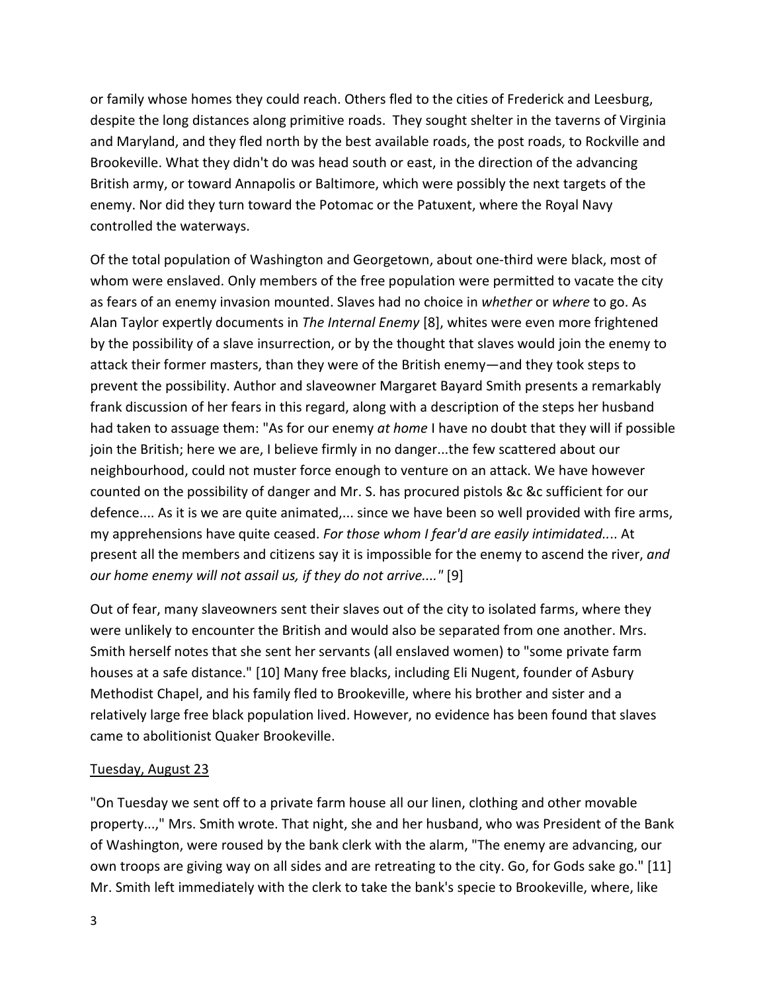or family whose homes they could reach. Others fled to the cities of Frederick and Leesburg, despite the long distances along primitive roads. They sought shelter in the taverns of Virginia and Maryland, and they fled north by the best available roads, the post roads, to Rockville and Brookeville. What they didn't do was head south or east, in the direction of the advancing British army, or toward Annapolis or Baltimore, which were possibly the next targets of the enemy. Nor did they turn toward the Potomac or the Patuxent, where the Royal Navy controlled the waterways.

Of the total population of Washington and Georgetown, about one-third were black, most of whom were enslaved. Only members of the free population were permitted to vacate the city as fears of an enemy invasion mounted. Slaves had no choice in whether or where to go. As Alan Taylor expertly documents in The Internal Enemy [8], whites were even more frightened by the possibility of a slave insurrection, or by the thought that slaves would join the enemy to attack their former masters, than they were of the British enemy—and they took steps to prevent the possibility. Author and slaveowner Margaret Bayard Smith presents a remarkably frank discussion of her fears in this regard, along with a description of the steps her husband had taken to assuage them: "As for our enemy at home I have no doubt that they will if possible join the British; here we are, I believe firmly in no danger...the few scattered about our neighbourhood, could not muster force enough to venture on an attack. We have however counted on the possibility of danger and Mr. S. has procured pistols &c &c sufficient for our defence.... As it is we are quite animated,... since we have been so well provided with fire arms, my apprehensions have quite ceased. For those whom I fear'd are easily intimidated.... At present all the members and citizens say it is impossible for the enemy to ascend the river, and our home enemy will not assail us, if they do not arrive...." [9]

Out of fear, many slaveowners sent their slaves out of the city to isolated farms, where they were unlikely to encounter the British and would also be separated from one another. Mrs. Smith herself notes that she sent her servants (all enslaved women) to "some private farm houses at a safe distance." [10] Many free blacks, including Eli Nugent, founder of Asbury Methodist Chapel, and his family fled to Brookeville, where his brother and sister and a relatively large free black population lived. However, no evidence has been found that slaves came to abolitionist Quaker Brookeville.

### Tuesday, August 23

"On Tuesday we sent off to a private farm house all our linen, clothing and other movable property...," Mrs. Smith wrote. That night, she and her husband, who was President of the Bank of Washington, were roused by the bank clerk with the alarm, "The enemy are advancing, our own troops are giving way on all sides and are retreating to the city. Go, for Gods sake go." [11] Mr. Smith left immediately with the clerk to take the bank's specie to Brookeville, where, like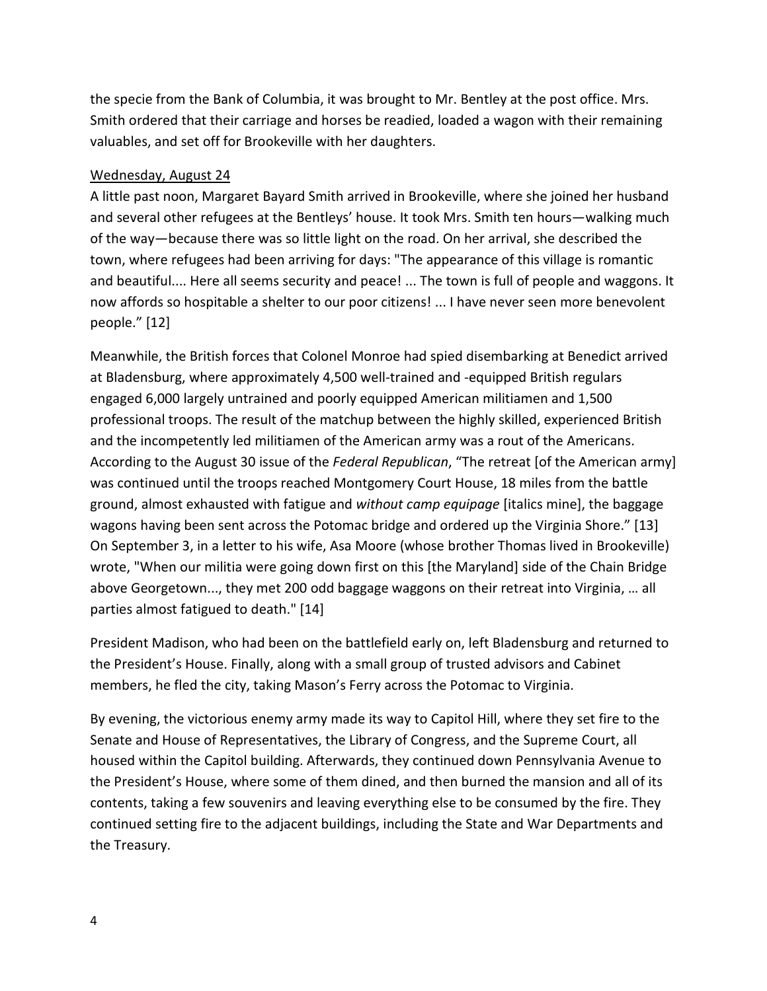the specie from the Bank of Columbia, it was brought to Mr. Bentley at the post office. Mrs. Smith ordered that their carriage and horses be readied, loaded a wagon with their remaining valuables, and set off for Brookeville with her daughters.

## Wednesday, August 24

A little past noon, Margaret Bayard Smith arrived in Brookeville, where she joined her husband and several other refugees at the Bentleys' house. It took Mrs. Smith ten hours—walking much of the way—because there was so little light on the road. On her arrival, she described the town, where refugees had been arriving for days: "The appearance of this village is romantic and beautiful.... Here all seems security and peace! ... The town is full of people and waggons. It now affords so hospitable a shelter to our poor citizens! ... I have never seen more benevolent people." [12]

Meanwhile, the British forces that Colonel Monroe had spied disembarking at Benedict arrived at Bladensburg, where approximately 4,500 well-trained and -equipped British regulars engaged 6,000 largely untrained and poorly equipped American militiamen and 1,500 professional troops. The result of the matchup between the highly skilled, experienced British and the incompetently led militiamen of the American army was a rout of the Americans. According to the August 30 issue of the Federal Republican, "The retreat [of the American army] was continued until the troops reached Montgomery Court House, 18 miles from the battle ground, almost exhausted with fatigue and without camp equipage [italics mine], the baggage wagons having been sent across the Potomac bridge and ordered up the Virginia Shore." [13] On September 3, in a letter to his wife, Asa Moore (whose brother Thomas lived in Brookeville) wrote, "When our militia were going down first on this [the Maryland] side of the Chain Bridge above Georgetown..., they met 200 odd baggage waggons on their retreat into Virginia, … all parties almost fatigued to death." [14]

President Madison, who had been on the battlefield early on, left Bladensburg and returned to the President's House. Finally, along with a small group of trusted advisors and Cabinet members, he fled the city, taking Mason's Ferry across the Potomac to Virginia.

By evening, the victorious enemy army made its way to Capitol Hill, where they set fire to the Senate and House of Representatives, the Library of Congress, and the Supreme Court, all housed within the Capitol building. Afterwards, they continued down Pennsylvania Avenue to the President's House, where some of them dined, and then burned the mansion and all of its contents, taking a few souvenirs and leaving everything else to be consumed by the fire. They continued setting fire to the adjacent buildings, including the State and War Departments and the Treasury.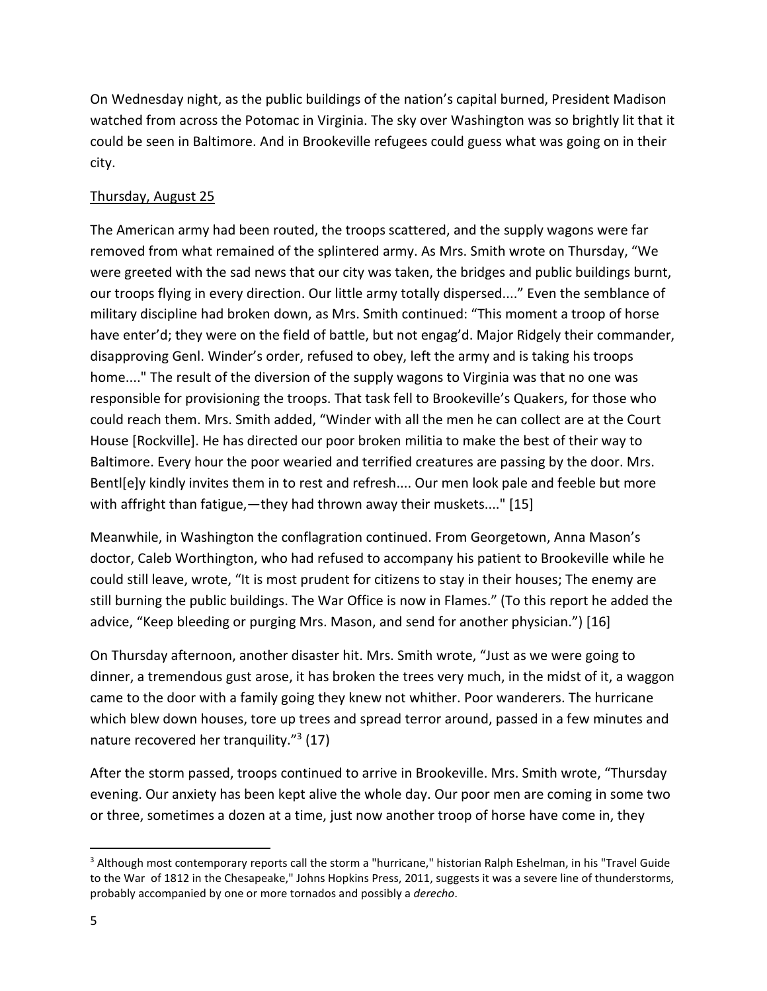On Wednesday night, as the public buildings of the nation's capital burned, President Madison watched from across the Potomac in Virginia. The sky over Washington was so brightly lit that it could be seen in Baltimore. And in Brookeville refugees could guess what was going on in their city.

## Thursday, August 25

The American army had been routed, the troops scattered, and the supply wagons were far removed from what remained of the splintered army. As Mrs. Smith wrote on Thursday, "We were greeted with the sad news that our city was taken, the bridges and public buildings burnt, our troops flying in every direction. Our little army totally dispersed...." Even the semblance of military discipline had broken down, as Mrs. Smith continued: "This moment a troop of horse have enter'd; they were on the field of battle, but not engag'd. Major Ridgely their commander, disapproving Genl. Winder's order, refused to obey, left the army and is taking his troops home...." The result of the diversion of the supply wagons to Virginia was that no one was responsible for provisioning the troops. That task fell to Brookeville's Quakers, for those who could reach them. Mrs. Smith added, "Winder with all the men he can collect are at the Court House [Rockville]. He has directed our poor broken militia to make the best of their way to Baltimore. Every hour the poor wearied and terrified creatures are passing by the door. Mrs. Bentl[e]y kindly invites them in to rest and refresh.... Our men look pale and feeble but more with affright than fatigue, — they had thrown away their muskets...." [15]

Meanwhile, in Washington the conflagration continued. From Georgetown, Anna Mason's doctor, Caleb Worthington, who had refused to accompany his patient to Brookeville while he could still leave, wrote, "It is most prudent for citizens to stay in their houses; The enemy are still burning the public buildings. The War Office is now in Flames." (To this report he added the advice, "Keep bleeding or purging Mrs. Mason, and send for another physician.") [16]

On Thursday afternoon, another disaster hit. Mrs. Smith wrote, "Just as we were going to dinner, a tremendous gust arose, it has broken the trees very much, in the midst of it, a waggon came to the door with a family going they knew not whither. Poor wanderers. The hurricane which blew down houses, tore up trees and spread terror around, passed in a few minutes and nature recovered her tranquility."<sup>3</sup> (17)

After the storm passed, troops continued to arrive in Brookeville. Mrs. Smith wrote, "Thursday evening. Our anxiety has been kept alive the whole day. Our poor men are coming in some two or three, sometimes a dozen at a time, just now another troop of horse have come in, they

<sup>&</sup>lt;sup>3</sup> Although most contemporary reports call the storm a "hurricane," historian Ralph Eshelman, in his "Travel Guide to the War of 1812 in the Chesapeake," Johns Hopkins Press, 2011, suggests it was a severe line of thunderstorms, probably accompanied by one or more tornados and possibly a derecho.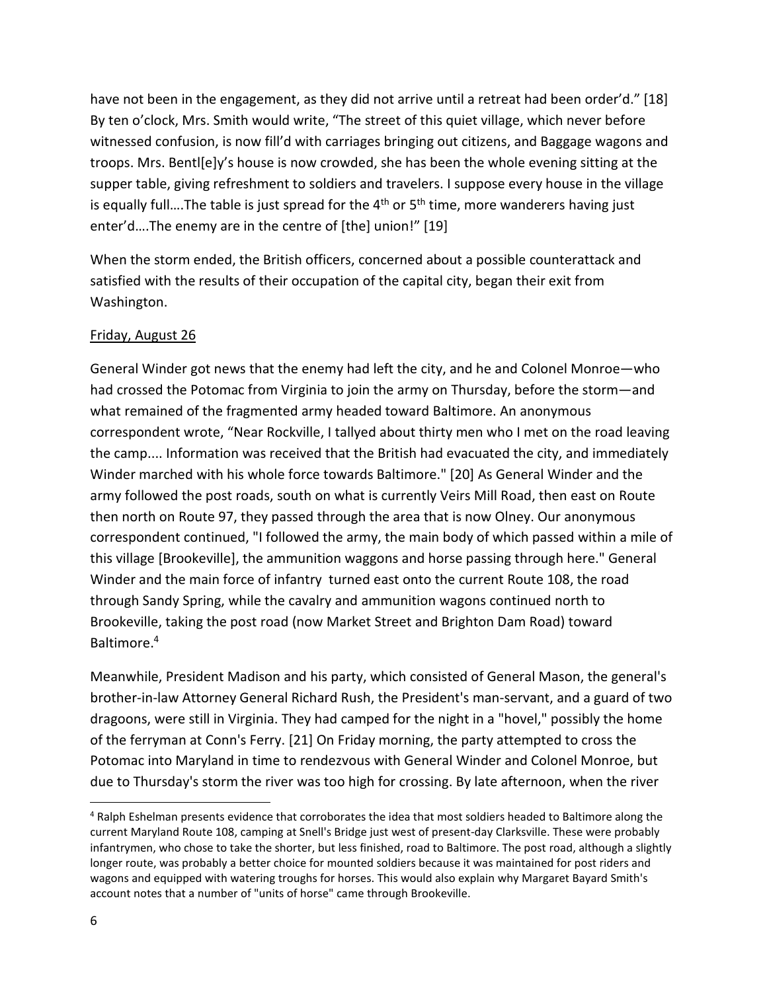have not been in the engagement, as they did not arrive until a retreat had been order'd." [18] By ten o'clock, Mrs. Smith would write, "The street of this quiet village, which never before witnessed confusion, is now fill'd with carriages bringing out citizens, and Baggage wagons and troops. Mrs. Bentl[e]y's house is now crowded, she has been the whole evening sitting at the supper table, giving refreshment to soldiers and travelers. I suppose every house in the village is equally full....The table is just spread for the  $4<sup>th</sup>$  or  $5<sup>th</sup>$  time, more wanderers having just enter'd….The enemy are in the centre of [the] union!" [19]

When the storm ended, the British officers, concerned about a possible counterattack and satisfied with the results of their occupation of the capital city, began their exit from Washington.

## Friday, August 26

General Winder got news that the enemy had left the city, and he and Colonel Monroe—who had crossed the Potomac from Virginia to join the army on Thursday, before the storm—and what remained of the fragmented army headed toward Baltimore. An anonymous correspondent wrote, "Near Rockville, I tallyed about thirty men who I met on the road leaving the camp.... Information was received that the British had evacuated the city, and immediately Winder marched with his whole force towards Baltimore." [20] As General Winder and the army followed the post roads, south on what is currently Veirs Mill Road, then east on Route then north on Route 97, they passed through the area that is now Olney. Our anonymous correspondent continued, "I followed the army, the main body of which passed within a mile of this village [Brookeville], the ammunition waggons and horse passing through here." General Winder and the main force of infantry turned east onto the current Route 108, the road through Sandy Spring, while the cavalry and ammunition wagons continued north to Brookeville, taking the post road (now Market Street and Brighton Dam Road) toward Baltimore.<sup>4</sup>

Meanwhile, President Madison and his party, which consisted of General Mason, the general's brother-in-law Attorney General Richard Rush, the President's man-servant, and a guard of two dragoons, were still in Virginia. They had camped for the night in a "hovel," possibly the home of the ferryman at Conn's Ferry. [21] On Friday morning, the party attempted to cross the Potomac into Maryland in time to rendezvous with General Winder and Colonel Monroe, but due to Thursday's storm the river was too high for crossing. By late afternoon, when the river

<sup>4</sup> Ralph Eshelman presents evidence that corroborates the idea that most soldiers headed to Baltimore along the current Maryland Route 108, camping at Snell's Bridge just west of present-day Clarksville. These were probably infantrymen, who chose to take the shorter, but less finished, road to Baltimore. The post road, although a slightly longer route, was probably a better choice for mounted soldiers because it was maintained for post riders and wagons and equipped with watering troughs for horses. This would also explain why Margaret Bayard Smith's account notes that a number of "units of horse" came through Brookeville.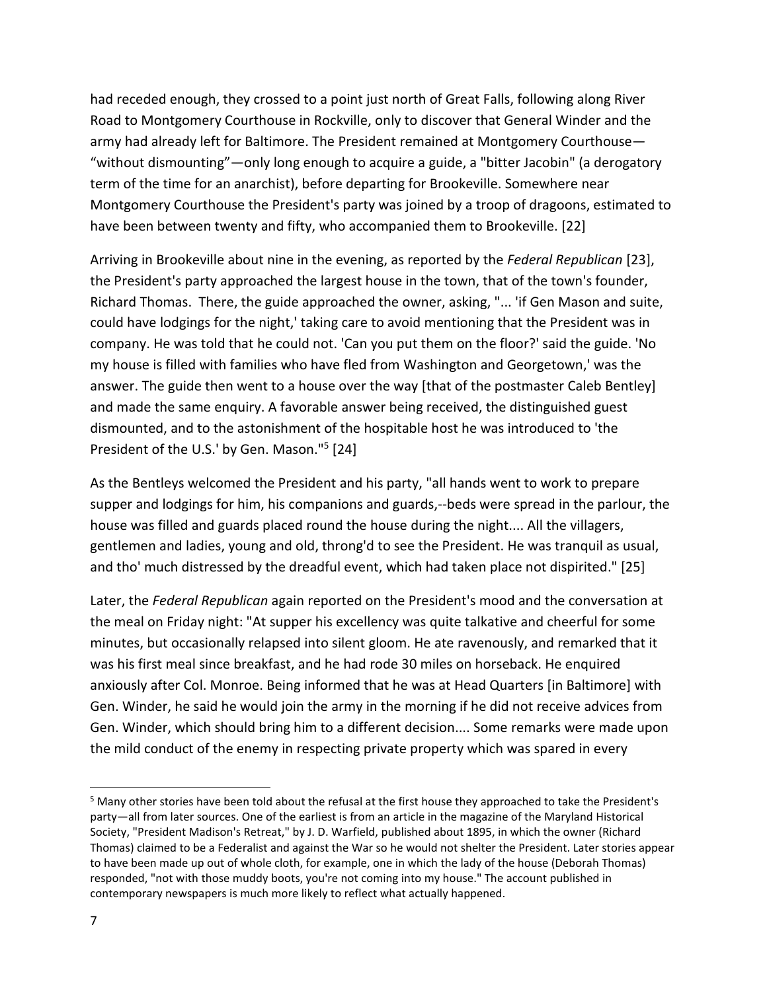had receded enough, they crossed to a point just north of Great Falls, following along River Road to Montgomery Courthouse in Rockville, only to discover that General Winder and the army had already left for Baltimore. The President remained at Montgomery Courthouse— "without dismounting"—only long enough to acquire a guide, a "bitter Jacobin" (a derogatory term of the time for an anarchist), before departing for Brookeville. Somewhere near Montgomery Courthouse the President's party was joined by a troop of dragoons, estimated to have been between twenty and fifty, who accompanied them to Brookeville. [22]

Arriving in Brookeville about nine in the evening, as reported by the Federal Republican [23], the President's party approached the largest house in the town, that of the town's founder, Richard Thomas. There, the guide approached the owner, asking, "... 'if Gen Mason and suite, could have lodgings for the night,' taking care to avoid mentioning that the President was in company. He was told that he could not. 'Can you put them on the floor?' said the guide. 'No my house is filled with families who have fled from Washington and Georgetown,' was the answer. The guide then went to a house over the way [that of the postmaster Caleb Bentley] and made the same enquiry. A favorable answer being received, the distinguished guest dismounted, and to the astonishment of the hospitable host he was introduced to 'the President of the U.S.' by Gen. Mason."<sup>5</sup> [24]

As the Bentleys welcomed the President and his party, "all hands went to work to prepare supper and lodgings for him, his companions and guards,--beds were spread in the parlour, the house was filled and guards placed round the house during the night.... All the villagers, gentlemen and ladies, young and old, throng'd to see the President. He was tranquil as usual, and tho' much distressed by the dreadful event, which had taken place not dispirited." [25]

Later, the Federal Republican again reported on the President's mood and the conversation at the meal on Friday night: "At supper his excellency was quite talkative and cheerful for some minutes, but occasionally relapsed into silent gloom. He ate ravenously, and remarked that it was his first meal since breakfast, and he had rode 30 miles on horseback. He enquired anxiously after Col. Monroe. Being informed that he was at Head Quarters [in Baltimore] with Gen. Winder, he said he would join the army in the morning if he did not receive advices from Gen. Winder, which should bring him to a different decision.... Some remarks were made upon the mild conduct of the enemy in respecting private property which was spared in every

<sup>&</sup>lt;sup>5</sup> Many other stories have been told about the refusal at the first house they approached to take the President's party—all from later sources. One of the earliest is from an article in the magazine of the Maryland Historical Society, "President Madison's Retreat," by J. D. Warfield, published about 1895, in which the owner (Richard Thomas) claimed to be a Federalist and against the War so he would not shelter the President. Later stories appear to have been made up out of whole cloth, for example, one in which the lady of the house (Deborah Thomas) responded, "not with those muddy boots, you're not coming into my house." The account published in contemporary newspapers is much more likely to reflect what actually happened.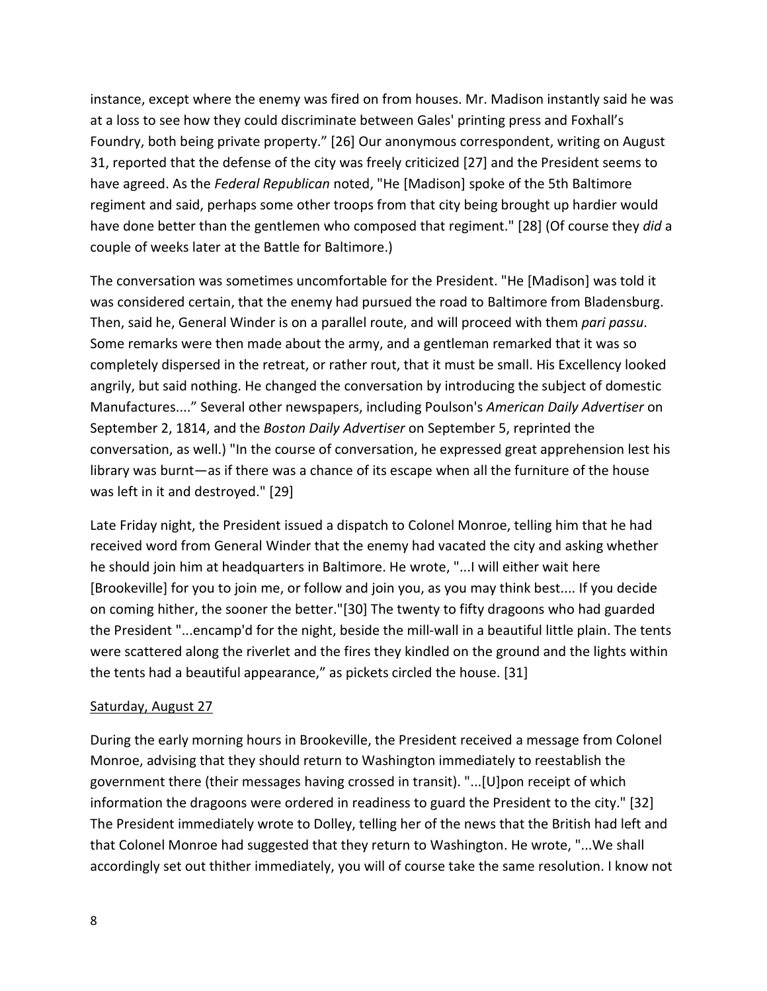instance, except where the enemy was fired on from houses. Mr. Madison instantly said he was at a loss to see how they could discriminate between Gales' printing press and Foxhall's Foundry, both being private property." [26] Our anonymous correspondent, writing on August 31, reported that the defense of the city was freely criticized [27] and the President seems to have agreed. As the Federal Republican noted, "He [Madison] spoke of the 5th Baltimore regiment and said, perhaps some other troops from that city being brought up hardier would have done better than the gentlemen who composed that regiment." [28] (Of course they did a couple of weeks later at the Battle for Baltimore.)

The conversation was sometimes uncomfortable for the President. "He [Madison] was told it was considered certain, that the enemy had pursued the road to Baltimore from Bladensburg. Then, said he, General Winder is on a parallel route, and will proceed with them pari passu. Some remarks were then made about the army, and a gentleman remarked that it was so completely dispersed in the retreat, or rather rout, that it must be small. His Excellency looked angrily, but said nothing. He changed the conversation by introducing the subject of domestic Manufactures...." Several other newspapers, including Poulson's American Daily Advertiser on September 2, 1814, and the Boston Daily Advertiser on September 5, reprinted the conversation, as well.) "In the course of conversation, he expressed great apprehension lest his library was burnt—as if there was a chance of its escape when all the furniture of the house was left in it and destroyed." [29]

Late Friday night, the President issued a dispatch to Colonel Monroe, telling him that he had received word from General Winder that the enemy had vacated the city and asking whether he should join him at headquarters in Baltimore. He wrote, "...I will either wait here [Brookeville] for you to join me, or follow and join you, as you may think best.... If you decide on coming hither, the sooner the better."[30] The twenty to fifty dragoons who had guarded the President "...encamp'd for the night, beside the mill-wall in a beautiful little plain. The tents were scattered along the riverlet and the fires they kindled on the ground and the lights within the tents had a beautiful appearance," as pickets circled the house. [31]

## Saturday, August 27

During the early morning hours in Brookeville, the President received a message from Colonel Monroe, advising that they should return to Washington immediately to reestablish the government there (their messages having crossed in transit). "...[U]pon receipt of which information the dragoons were ordered in readiness to guard the President to the city." [32] The President immediately wrote to Dolley, telling her of the news that the British had left and that Colonel Monroe had suggested that they return to Washington. He wrote, "...We shall accordingly set out thither immediately, you will of course take the same resolution. I know not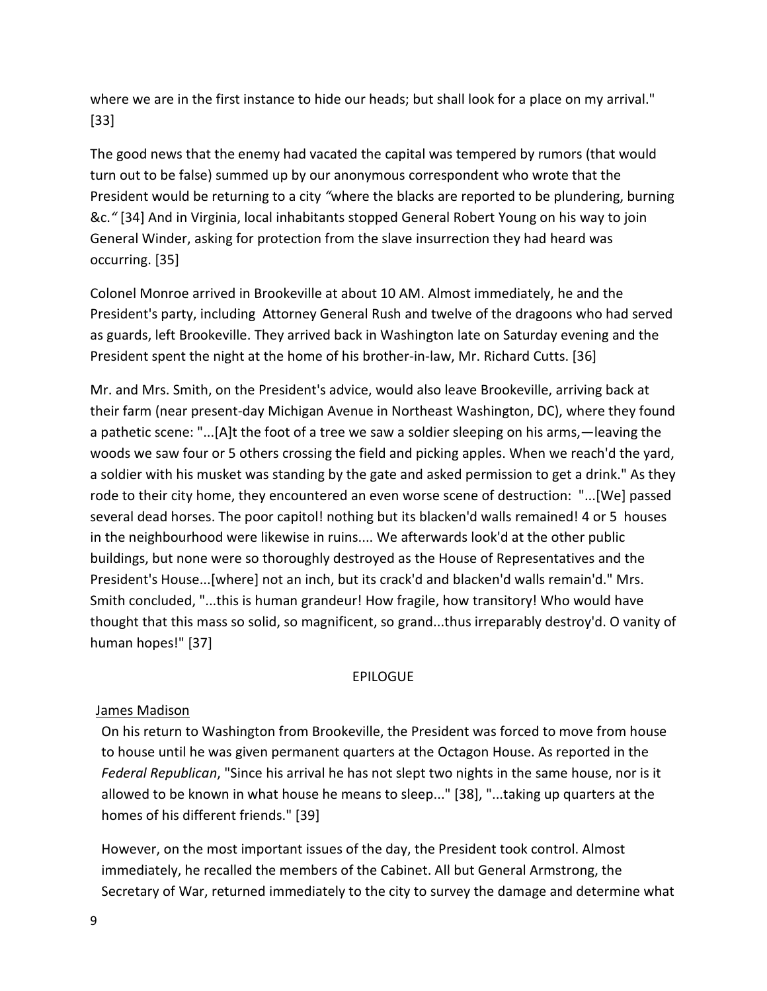where we are in the first instance to hide our heads; but shall look for a place on my arrival." [33]

The good news that the enemy had vacated the capital was tempered by rumors (that would turn out to be false) summed up by our anonymous correspondent who wrote that the President would be returning to a city "where the blacks are reported to be plundering, burning &c." [34] And in Virginia, local inhabitants stopped General Robert Young on his way to join General Winder, asking for protection from the slave insurrection they had heard was occurring. [35]

Colonel Monroe arrived in Brookeville at about 10 AM. Almost immediately, he and the President's party, including Attorney General Rush and twelve of the dragoons who had served as guards, left Brookeville. They arrived back in Washington late on Saturday evening and the President spent the night at the home of his brother-in-law, Mr. Richard Cutts. [36]

Mr. and Mrs. Smith, on the President's advice, would also leave Brookeville, arriving back at their farm (near present-day Michigan Avenue in Northeast Washington, DC), where they found a pathetic scene: "...[A]t the foot of a tree we saw a soldier sleeping on his arms,—leaving the woods we saw four or 5 others crossing the field and picking apples. When we reach'd the yard, a soldier with his musket was standing by the gate and asked permission to get a drink." As they rode to their city home, they encountered an even worse scene of destruction: "...[We] passed several dead horses. The poor capitol! nothing but its blacken'd walls remained! 4 or 5 houses in the neighbourhood were likewise in ruins.... We afterwards look'd at the other public buildings, but none were so thoroughly destroyed as the House of Representatives and the President's House...[where] not an inch, but its crack'd and blacken'd walls remain'd." Mrs. Smith concluded, "...this is human grandeur! How fragile, how transitory! Who would have thought that this mass so solid, so magnificent, so grand...thus irreparably destroy'd. O vanity of human hopes!" [37]

#### **EPILOGUE**

### James Madison

On his return to Washington from Brookeville, the President was forced to move from house to house until he was given permanent quarters at the Octagon House. As reported in the Federal Republican, "Since his arrival he has not slept two nights in the same house, nor is it allowed to be known in what house he means to sleep..." [38], "...taking up quarters at the homes of his different friends." [39]

However, on the most important issues of the day, the President took control. Almost immediately, he recalled the members of the Cabinet. All but General Armstrong, the Secretary of War, returned immediately to the city to survey the damage and determine what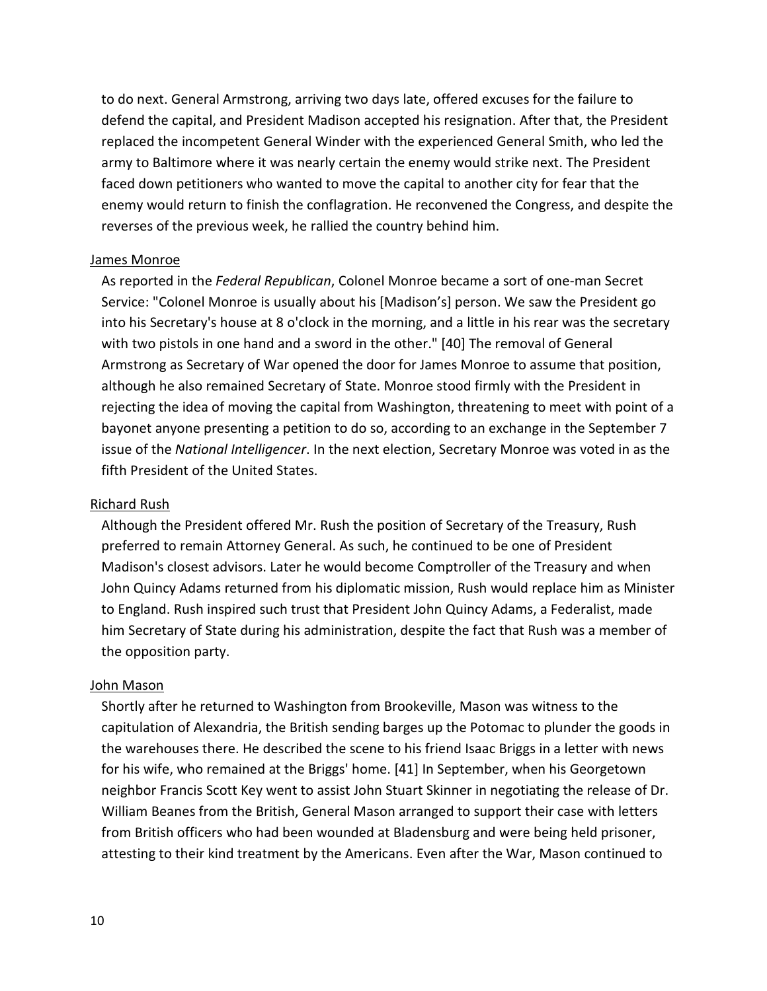to do next. General Armstrong, arriving two days late, offered excuses for the failure to defend the capital, and President Madison accepted his resignation. After that, the President replaced the incompetent General Winder with the experienced General Smith, who led the army to Baltimore where it was nearly certain the enemy would strike next. The President faced down petitioners who wanted to move the capital to another city for fear that the enemy would return to finish the conflagration. He reconvened the Congress, and despite the reverses of the previous week, he rallied the country behind him.

#### James Monroe

As reported in the Federal Republican, Colonel Monroe became a sort of one-man Secret Service: "Colonel Monroe is usually about his [Madison's] person. We saw the President go into his Secretary's house at 8 o'clock in the morning, and a little in his rear was the secretary with two pistols in one hand and a sword in the other." [40] The removal of General Armstrong as Secretary of War opened the door for James Monroe to assume that position, although he also remained Secretary of State. Monroe stood firmly with the President in rejecting the idea of moving the capital from Washington, threatening to meet with point of a bayonet anyone presenting a petition to do so, according to an exchange in the September 7 issue of the National Intelligencer. In the next election, Secretary Monroe was voted in as the fifth President of the United States.

### Richard Rush

Although the President offered Mr. Rush the position of Secretary of the Treasury, Rush preferred to remain Attorney General. As such, he continued to be one of President Madison's closest advisors. Later he would become Comptroller of the Treasury and when John Quincy Adams returned from his diplomatic mission, Rush would replace him as Minister to England. Rush inspired such trust that President John Quincy Adams, a Federalist, made him Secretary of State during his administration, despite the fact that Rush was a member of the opposition party.

#### John Mason

Shortly after he returned to Washington from Brookeville, Mason was witness to the capitulation of Alexandria, the British sending barges up the Potomac to plunder the goods in the warehouses there. He described the scene to his friend Isaac Briggs in a letter with news for his wife, who remained at the Briggs' home. [41] In September, when his Georgetown neighbor Francis Scott Key went to assist John Stuart Skinner in negotiating the release of Dr. William Beanes from the British, General Mason arranged to support their case with letters from British officers who had been wounded at Bladensburg and were being held prisoner, attesting to their kind treatment by the Americans. Even after the War, Mason continued to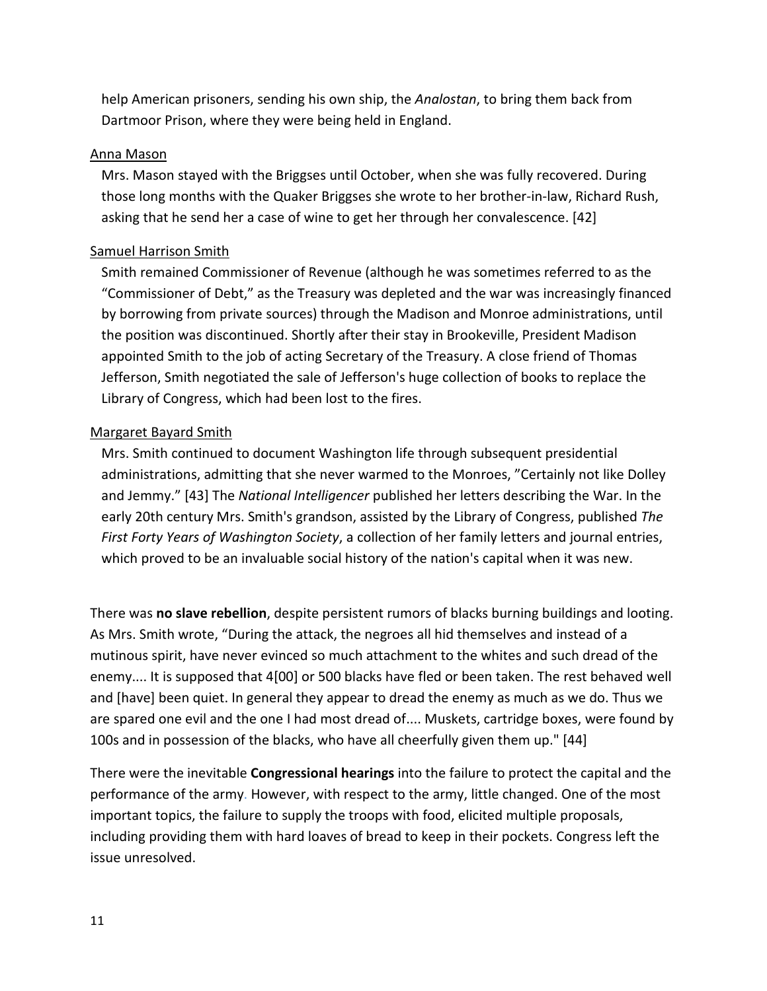help American prisoners, sending his own ship, the Analostan, to bring them back from Dartmoor Prison, where they were being held in England.

#### Anna Mason

Mrs. Mason stayed with the Briggses until October, when she was fully recovered. During those long months with the Quaker Briggses she wrote to her brother-in-law, Richard Rush, asking that he send her a case of wine to get her through her convalescence. [42]

### Samuel Harrison Smith

Smith remained Commissioner of Revenue (although he was sometimes referred to as the "Commissioner of Debt," as the Treasury was depleted and the war was increasingly financed by borrowing from private sources) through the Madison and Monroe administrations, until the position was discontinued. Shortly after their stay in Brookeville, President Madison appointed Smith to the job of acting Secretary of the Treasury. A close friend of Thomas Jefferson, Smith negotiated the sale of Jefferson's huge collection of books to replace the Library of Congress, which had been lost to the fires.

### Margaret Bayard Smith

Mrs. Smith continued to document Washington life through subsequent presidential administrations, admitting that she never warmed to the Monroes, "Certainly not like Dolley and Jemmy." [43] The National Intelligencer published her letters describing the War. In the early 20th century Mrs. Smith's grandson, assisted by the Library of Congress, published The First Forty Years of Washington Society, a collection of her family letters and journal entries, which proved to be an invaluable social history of the nation's capital when it was new.

There was **no slave rebellion**, despite persistent rumors of blacks burning buildings and looting. As Mrs. Smith wrote, "During the attack, the negroes all hid themselves and instead of a mutinous spirit, have never evinced so much attachment to the whites and such dread of the enemy.... It is supposed that 4[00] or 500 blacks have fled or been taken. The rest behaved well and [have] been quiet. In general they appear to dread the enemy as much as we do. Thus we are spared one evil and the one I had most dread of.... Muskets, cartridge boxes, were found by 100s and in possession of the blacks, who have all cheerfully given them up." [44]

There were the inevitable **Congressional hearings** into the failure to protect the capital and the performance of the army. However, with respect to the army, little changed. One of the most important topics, the failure to supply the troops with food, elicited multiple proposals, including providing them with hard loaves of bread to keep in their pockets. Congress left the issue unresolved.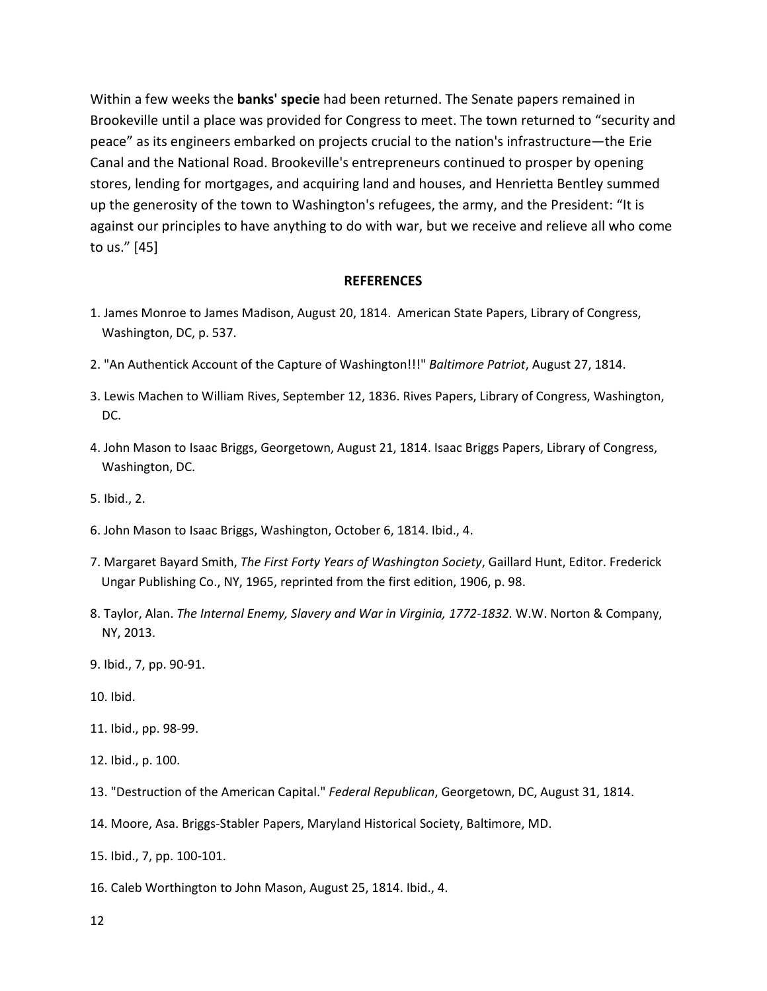Within a few weeks the **banks' specie** had been returned. The Senate papers remained in Brookeville until a place was provided for Congress to meet. The town returned to "security and peace" as its engineers embarked on projects crucial to the nation's infrastructure—the Erie Canal and the National Road. Brookeville's entrepreneurs continued to prosper by opening stores, lending for mortgages, and acquiring land and houses, and Henrietta Bentley summed up the generosity of the town to Washington's refugees, the army, and the President: "It is against our principles to have anything to do with war, but we receive and relieve all who come to us." [45]

#### **REFERENCES**

- 1. James Monroe to James Madison, August 20, 1814. American State Papers, Library of Congress, Washington, DC, p. 537.
- 2. "An Authentick Account of the Capture of Washington!!!" Baltimore Patriot, August 27, 1814.
- 3. Lewis Machen to William Rives, September 12, 1836. Rives Papers, Library of Congress, Washington, DC.
- 4. John Mason to Isaac Briggs, Georgetown, August 21, 1814. Isaac Briggs Papers, Library of Congress, Washington, DC.
- 5. Ibid., 2.
- 6. John Mason to Isaac Briggs, Washington, October 6, 1814. Ibid., 4.
- 7. Margaret Bayard Smith, The First Forty Years of Washington Society, Gaillard Hunt, Editor. Frederick Ungar Publishing Co., NY, 1965, reprinted from the first edition, 1906, p. 98.
- 8. Taylor, Alan. The Internal Enemy, Slavery and War in Virginia, 1772-1832. W.W. Norton & Company, NY, 2013.
- 9. Ibid., 7, pp. 90-91.
- 10. Ibid.
- 11. Ibid., pp. 98-99.
- 12. Ibid., p. 100.
- 13. "Destruction of the American Capital." Federal Republican, Georgetown, DC, August 31, 1814.
- 14. Moore, Asa. Briggs-Stabler Papers, Maryland Historical Society, Baltimore, MD.
- 15. Ibid., 7, pp. 100-101.
- 16. Caleb Worthington to John Mason, August 25, 1814. Ibid., 4.
- 12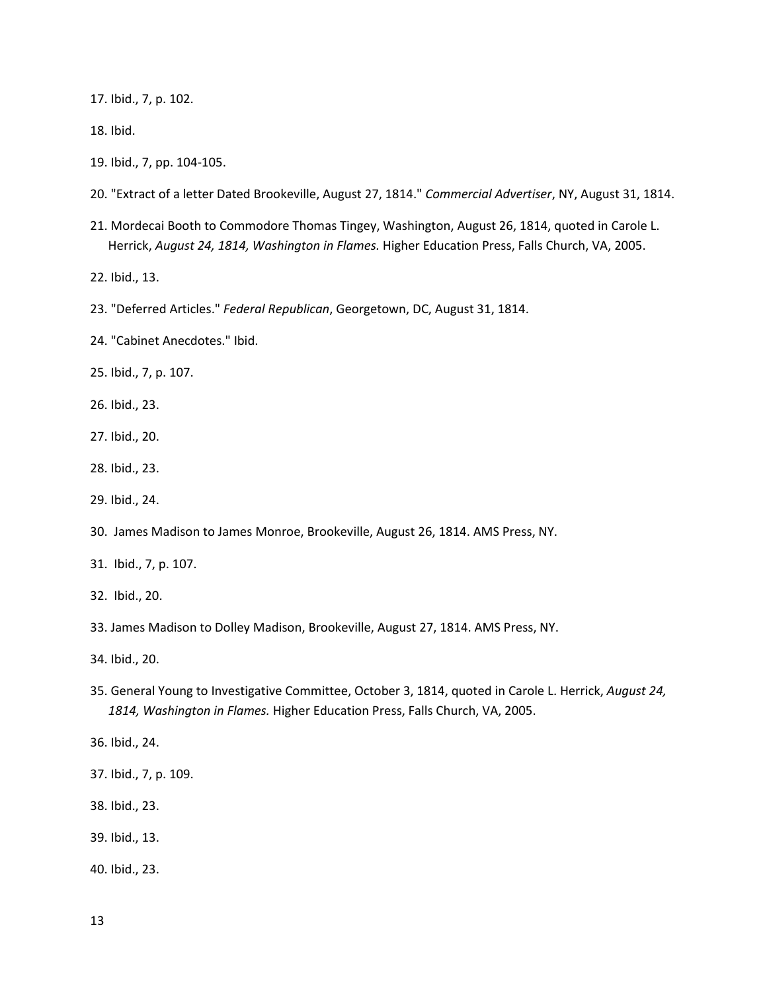17. Ibid., 7, p. 102.

- 18. Ibid.
- 19. Ibid., 7, pp. 104-105.
- 20. "Extract of a letter Dated Brookeville, August 27, 1814." Commercial Advertiser, NY, August 31, 1814.
- 21. Mordecai Booth to Commodore Thomas Tingey, Washington, August 26, 1814, quoted in Carole L. Herrick, August 24, 1814, Washington in Flames. Higher Education Press, Falls Church, VA, 2005.
- 22. Ibid., 13.
- 23. "Deferred Articles." Federal Republican, Georgetown, DC, August 31, 1814.
- 24. "Cabinet Anecdotes." Ibid.
- 25. Ibid., 7, p. 107.
- 26. Ibid., 23.
- 27. Ibid., 20.
- 28. Ibid., 23.
- 29. Ibid., 24.
- 30. James Madison to James Monroe, Brookeville, August 26, 1814. AMS Press, NY.
- 31. Ibid., 7, p. 107.
- 32. Ibid., 20.
- 33. James Madison to Dolley Madison, Brookeville, August 27, 1814. AMS Press, NY.
- 34. Ibid., 20.
- 35. General Young to Investigative Committee, October 3, 1814, quoted in Carole L. Herrick, August 24, 1814, Washington in Flames. Higher Education Press, Falls Church, VA, 2005.
- 36. Ibid., 24.
- 37. Ibid., 7, p. 109.
- 38. Ibid., 23.
- 39. Ibid., 13.
- 40. Ibid., 23.